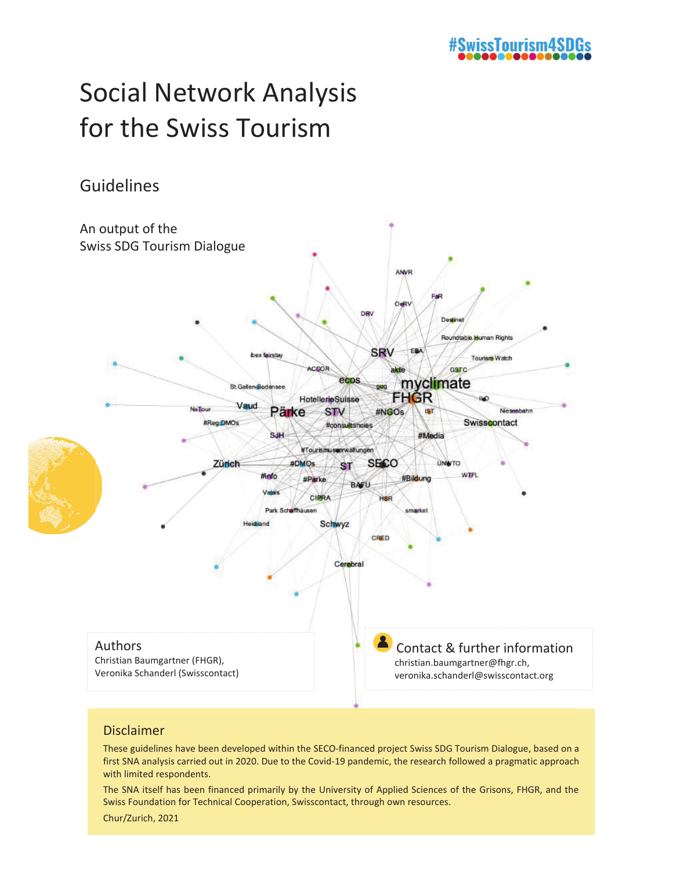## #SwissTourism4SD

# Social Network Analysis for the Swiss Tourism

### Guidelines



#### Disclaimer

These guidelines have been developed within the SECO-financed project Swiss SDG Tourism Dialogue, based on a first SNA analysis carried out in 2020. Due to the Covid-19 pandemic, the research followed a pragmatic approach with limited respondents.

The SNA itself has been financed primarily by the University of Applied Sciences of the Grisons, FHGR, and the Swiss Foundation for Technical Cooperation, Swisscontact, through own resources.

Chur/Zurich, 2021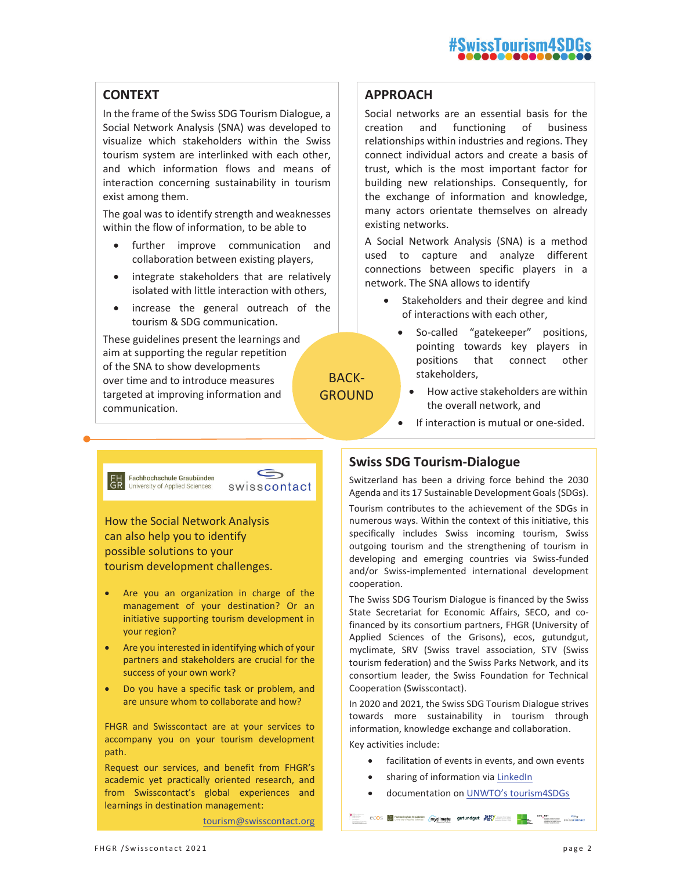#### **CONTEXT**

In the frame of the Swiss SDG Tourism Dialogue, a Social Network Analysis (SNA) was developed to visualize which stakeholders within the Swiss tourism system are interlinked with each other, and which information flows and means of interaction concerning sustainability in tourism exist among them.

The goal was to identify strength and weaknesses within the flow of information, to be able to

- further improve communication and collaboration between existing players,
- integrate stakeholders that are relatively isolated with little interaction with others,
- increase the general outreach of the tourism & SDG communication.

These guidelines present the learnings and aim at supporting the regular repetition of the SNA to show developments over time and to introduce measures targeted at improving information and communication.

#### **APPROACH**

Social networks are an essential basis for the creation and functioning of business relationships within industries and regions. They connect individual actors and create a basis of trust, which is the most important factor for building new relationships. Consequently, for the exchange of information and knowledge, many actors orientate themselves on already existing networks.

A Social Network Analysis (SNA) is a method used to capture and analyze different connections between specific players in a network. The SNA allows to identify

- Stakeholders and their degree and kind of interactions with each other,
	- So-called "gatekeeper" positions, pointing towards key players in positions that connect other stakeholders,
	- How active stakeholders are within the overall network, and
	- If interaction is mutual or one-sided.



G swisscontact

BACK-GROUND

How the Social Network Analysis can also help you to identify possible solutions to your tourism development challenges.

- Are you an organization in charge of the management of your destination? Or an initiative supporting tourism development in your region?
- Are you interested in identifying which of your partners and stakeholders are crucial for the success of your own work?
- Do you have a specific task or problem, and are unsure whom to collaborate and how?

FHGR and Swisscontact are at your services to accompany you on your tourism development path.

Request our services, and benefit from FHGR's academic yet practically oriented research, and from Swisscontact's global experiences and learnings in destination management:

tourism@swisscontact.org

#### **Swiss SDG Tourism-Dialogue**

Switzerland has been a driving force behind the 2030 Agenda and its 17 Sustainable Development Goals (SDGs).

Tourism contributes to the achievement of the SDGs in numerous ways. Within the context of this initiative, this specifically includes Swiss incoming tourism, Swiss outgoing tourism and the strengthening of tourism in developing and emerging countries via Swiss-funded and/or Swiss-implemented international development cooperation.

The Swiss SDG Tourism Dialogue is financed by the Swiss State Secretariat for Economic Affairs, SECO, and cofinanced by its consortium partners, FHGR (University of Applied Sciences of the Grisons), ecos, gutundgut, myclimate, SRV (Swiss travel association, STV (Swiss tourism federation) and the Swiss Parks Network, and its consortium leader, the Swiss Foundation for Technical Cooperation (Swisscontact).

In 2020 and 2021, the Swiss SDG Tourism Dialogue strives towards more sustainability in tourism through information, knowledge exchange and collaboration.

Key activities include:

• facilitation of events in events, and own events

 $\frac{\text{ccos}}{\text{d}t}$  restationship Gradiates (myclimate gutundgut  $\overline{\text{c}}$ V and  $\overline{\text{csc}}$  styles contact and  $\overline{\text{csc}}$ 

- sharing of information via LinkedIn
- x documentation on UNWTO's tourism4SDGs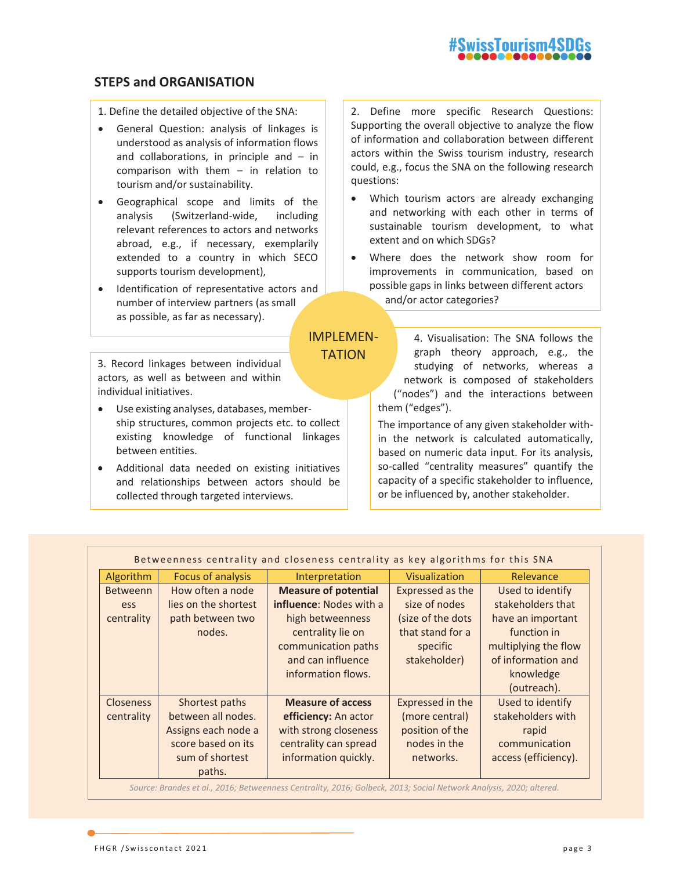#### **STEPS and ORGANISATION**

- 1. Define the detailed objective of the SNA:
- General Question: analysis of linkages is understood as analysis of information flows and collaborations, in principle and  $-$  in comparison with them – in relation to tourism and/or sustainability.
- Geographical scope and limits of the analysis (Switzerland-wide, including relevant references to actors and networks abroad, e.g., if necessary, exemplarily extended to a country in which SECO supports tourism development),
- Identification of representative actors and number of interview partners (as small as possible, as far as necessary).

3. Record linkages between individual actors, as well as between and within individual initiatives.

- Use existing analyses, databases, membership structures, common projects etc. to collect existing knowledge of functional linkages between entities.
- Additional data needed on existing initiatives and relationships between actors should be collected through targeted interviews.

2. Define more specific Research Questions: Supporting the overall objective to analyze the flow of information and collaboration between different actors within the Swiss tourism industry, research could, e.g., focus the SNA on the following research questions:

- Which tourism actors are already exchanging and networking with each other in terms of sustainable tourism development, to what extent and on which SDGs?
- Where does the network show room for improvements in communication, based on possible gaps in links between different actors and/or actor categories?

4. Visualisation: The SNA follows the graph theory approach, e.g., the studying of networks, whereas a network is composed of stakeholders ("nodes") and the interactions between them ("edges").

The importance of any given stakeholder within the network is calculated automatically, based on numeric data input. For its analysis, so-called "centrality measures" quantify the capacity of a specific stakeholder to influence, or be influenced by, another stakeholder.

| Betweenness centrality and closeness centrality as key algorithms for this SNA |                      |                                |                   |                      |
|--------------------------------------------------------------------------------|----------------------|--------------------------------|-------------------|----------------------|
| Algorithm                                                                      | Focus of analysis    | Interpretation                 | Visualization     | Relevance            |
| <b>Betweenn</b>                                                                | How often a node     | <b>Measure of potential</b>    | Expressed as the  | Used to identify     |
| ess                                                                            | lies on the shortest | <b>influence:</b> Nodes with a | size of nodes     | stakeholders that    |
| centrality                                                                     | path between two     | high betweenness               | (size of the dots | have an important    |
|                                                                                | nodes.               | centrality lie on              | that stand for a  | function in          |
|                                                                                |                      | communication paths            | specific          | multiplying the flow |
|                                                                                |                      | and can influence              | stakeholder)      | of information and   |
|                                                                                |                      | information flows.             |                   | knowledge            |
|                                                                                |                      |                                |                   | (outreach).          |
| <b>Closeness</b>                                                               | Shortest paths       | <b>Measure of access</b>       | Expressed in the  | Used to identify     |
| centrality                                                                     | between all nodes.   | efficiency: An actor           | (more central)    | stakeholders with    |
|                                                                                | Assigns each node a  | with strong closeness          | position of the   | rapid                |
|                                                                                | score based on its   | centrality can spread          | nodes in the      | communication        |
|                                                                                | sum of shortest      | information quickly.           | networks.         | access (efficiency). |
|                                                                                | paths.               |                                |                   |                      |

IMPLEMEN-**TATION** 

*Source: Brandes et al., 2016; Betweenness Centrality, 2016; Golbeck, 2013; Social Network Analysis, 2020; altered.*